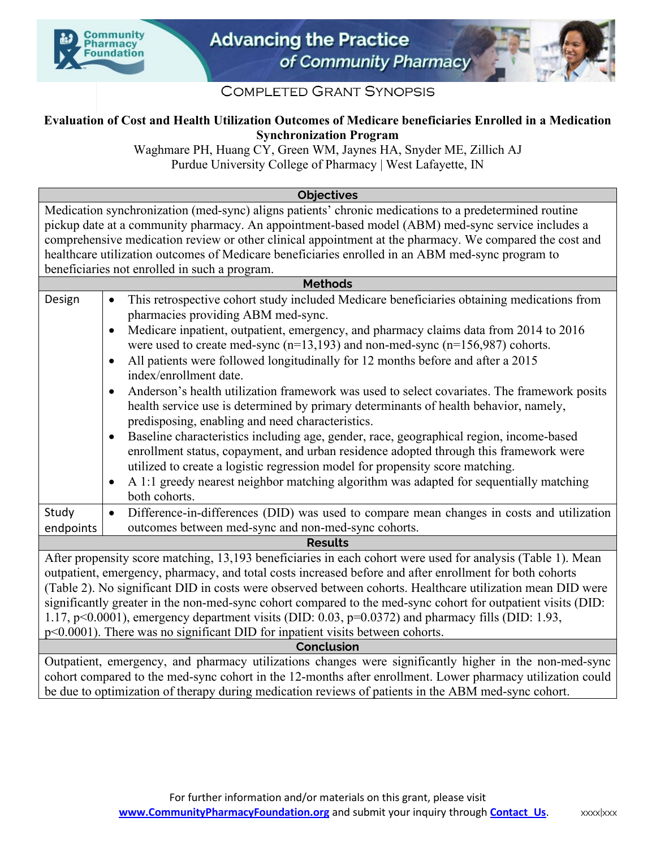



## **COMPLETED GRANT SYNOPSIS**

## **Evaluation of Cost and Health Utilization Outcomes of Medicare beneficiaries Enrolled in a Medication Synchronization Program**

Waghmare PH, Huang CY, Green WM, Jaynes HA, Snyder ME, Zillich AJ Purdue University College of Pharmacy | West Lafayette, IN

**Objectives**

Medication synchronization (med-sync) aligns patients' chronic medications to a predetermined routine pickup date at a community pharmacy. An appointment-based model (ABM) med-sync service includes a comprehensive medication review or other clinical appointment at the pharmacy. We compared the cost and healthcare utilization outcomes of Medicare beneficiaries enrolled in an ABM med-sync program to beneficiaries not enrolled in such a program.

| <b>Methods</b> |                                                                                                                                                                                                                                                                                                                                                                                                                                                                                                                                                                                                                                                                                                                                                                                                                                                                                                                                                                                                                                                                                                                                  |  |  |  |  |  |  |
|----------------|----------------------------------------------------------------------------------------------------------------------------------------------------------------------------------------------------------------------------------------------------------------------------------------------------------------------------------------------------------------------------------------------------------------------------------------------------------------------------------------------------------------------------------------------------------------------------------------------------------------------------------------------------------------------------------------------------------------------------------------------------------------------------------------------------------------------------------------------------------------------------------------------------------------------------------------------------------------------------------------------------------------------------------------------------------------------------------------------------------------------------------|--|--|--|--|--|--|
| Design         | This retrospective cohort study included Medicare beneficiaries obtaining medications from<br>$\bullet$<br>pharmacies providing ABM med-sync.<br>Medicare inpatient, outpatient, emergency, and pharmacy claims data from 2014 to 2016<br>٠<br>were used to create med-sync ( $n=13,193$ ) and non-med-sync ( $n=156,987$ ) cohorts.<br>All patients were followed longitudinally for 12 months before and after a 2015<br>$\bullet$<br>index/enrollment date.<br>Anderson's health utilization framework was used to select covariates. The framework posits<br>$\bullet$<br>health service use is determined by primary determinants of health behavior, namely,<br>predisposing, enabling and need characteristics.<br>Baseline characteristics including age, gender, race, geographical region, income-based<br>$\bullet$<br>enrollment status, copayment, and urban residence adopted through this framework were<br>utilized to create a logistic regression model for propensity score matching.<br>A 1:1 greedy nearest neighbor matching algorithm was adapted for sequentially matching<br>$\bullet$<br>both cohorts. |  |  |  |  |  |  |
| Study          | Difference-in-differences (DID) was used to compare mean changes in costs and utilization<br>$\bullet$                                                                                                                                                                                                                                                                                                                                                                                                                                                                                                                                                                                                                                                                                                                                                                                                                                                                                                                                                                                                                           |  |  |  |  |  |  |
| endpoints      | outcomes between med-sync and non-med-sync cohorts.                                                                                                                                                                                                                                                                                                                                                                                                                                                                                                                                                                                                                                                                                                                                                                                                                                                                                                                                                                                                                                                                              |  |  |  |  |  |  |
| <b>Results</b> |                                                                                                                                                                                                                                                                                                                                                                                                                                                                                                                                                                                                                                                                                                                                                                                                                                                                                                                                                                                                                                                                                                                                  |  |  |  |  |  |  |
|                | After propensity score matching, 13,193 beneficiaries in each cohort were used for analysis (Table 1). Mean<br>outpatient, emergency, pharmacy, and total costs increased before and after enrollment for both cohorts<br>(Table 2). No significant DID in costs were observed between cohorts. Healthcare utilization mean DID were                                                                                                                                                                                                                                                                                                                                                                                                                                                                                                                                                                                                                                                                                                                                                                                             |  |  |  |  |  |  |
|                |                                                                                                                                                                                                                                                                                                                                                                                                                                                                                                                                                                                                                                                                                                                                                                                                                                                                                                                                                                                                                                                                                                                                  |  |  |  |  |  |  |

significantly greater in the non-med-sync cohort compared to the med-sync cohort for outpatient visits (DID: 1.17, p<0.0001), emergency department visits (DID: 0.03, p=0.0372) and pharmacy fills (DID: 1.93, p<0.0001). There was no significant DID for inpatient visits between cohorts.

## **Conclusion**

Outpatient, emergency, and pharmacy utilizations changes were significantly higher in the non-med-sync cohort compared to the med-sync cohort in the 12-months after enrollment. Lower pharmacy utilization could be due to optimization of therapy during medication reviews of patients in the ABM med-sync cohort.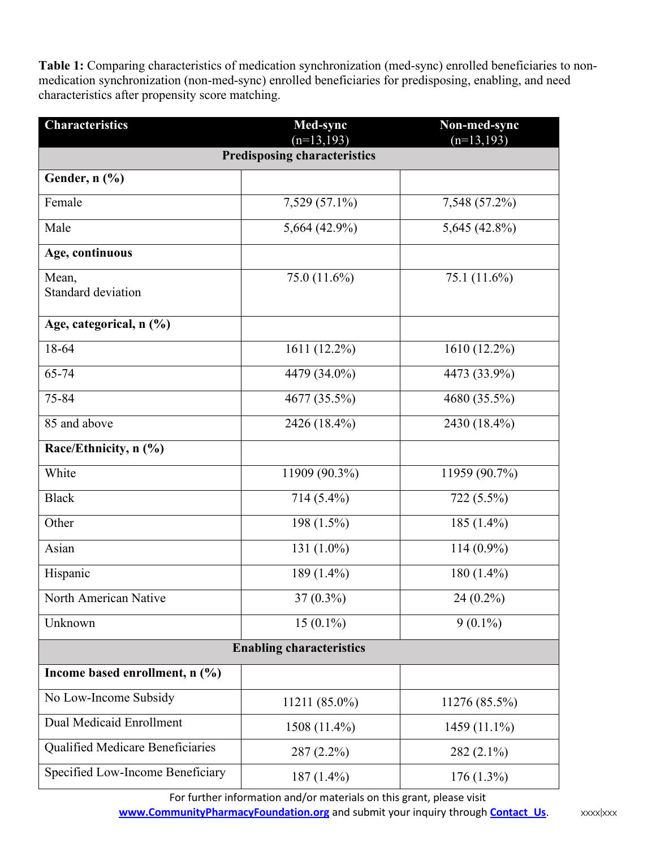**Table 1:** Comparing characteristics of medication synchronization (med-sync) enrolled beneficiaries to nonmedication synchronization (non-med-sync) enrolled beneficiaries for predisposing, enabling, and need characteristics after propensity score matching.

| <b>Characteristics</b>              | Med-sync<br>$(n=13,193)$ | Non-med-sync<br>$(n=13, 193)$ |  |  |  |  |  |  |
|-------------------------------------|--------------------------|-------------------------------|--|--|--|--|--|--|
| <b>Predisposing characteristics</b> |                          |                               |  |  |  |  |  |  |
| Gender, n (%)                       |                          |                               |  |  |  |  |  |  |
| Female                              | 7,529 (57.1%)            | 7,548 (57.2%)                 |  |  |  |  |  |  |
| Male                                | 5,664 $(42.9\%)$         | 5,645 (42.8%)                 |  |  |  |  |  |  |
| Age, continuous                     |                          |                               |  |  |  |  |  |  |
| Mean,<br>Standard deviation         | 75.0 (11.6%)             | 75.1 (11.6%)                  |  |  |  |  |  |  |
| Age, categorical, n (%)             |                          |                               |  |  |  |  |  |  |
| 18-64                               | 1611 (12.2%)             | 1610 (12.2%)                  |  |  |  |  |  |  |
| 65-74                               | 4479 (34.0%)             | 4473 (33.9%)                  |  |  |  |  |  |  |
| 75-84                               | 4677 (35.5%)             | 4680 (35.5%)                  |  |  |  |  |  |  |
| 85 and above                        | 2426 (18.4%)             | 2430 (18.4%)                  |  |  |  |  |  |  |
| Race/Ethnicity, n (%)               |                          |                               |  |  |  |  |  |  |
| White                               | 11909 (90.3%)            | 11959 (90.7%)                 |  |  |  |  |  |  |
| <b>Black</b>                        | 714 (5.4%)               | 722 (5.5%)                    |  |  |  |  |  |  |
| Other                               | 198 (1.5%)               | 185 $(1.4\%)$                 |  |  |  |  |  |  |
| Asian                               | 131 (1.0%)               | $114(0.9\%)$                  |  |  |  |  |  |  |
| Hispanic                            | 189 (1.4%)               | $180(1.4\%)$                  |  |  |  |  |  |  |
| North American Native               | $37(0.3\%)$              | 24 (0.2%)                     |  |  |  |  |  |  |
| Unknown                             | $15(0.1\%)$              | $9(0.1\%)$                    |  |  |  |  |  |  |
| <b>Enabling characteristics</b>     |                          |                               |  |  |  |  |  |  |
| Income based enrollment, n (%)      |                          |                               |  |  |  |  |  |  |
| No Low-Income Subsidy               | 11211 (85.0%)            | 11276 (85.5%)                 |  |  |  |  |  |  |
| Dual Medicaid Enrollment            | 1508 (11.4%)             | 1459 (11.1%)                  |  |  |  |  |  |  |
| Qualified Medicare Beneficiaries    | 287 (2.2%)               | $282(2.1\%)$                  |  |  |  |  |  |  |
| Specified Low-Income Beneficiary    | 187 (1.4%)               | $176(1.3\%)$                  |  |  |  |  |  |  |

For further information and/or materials on this grant, please visit **[www.CommunityPharmacyFoundation.org](http://www.communitypharmacyfoundation.org/)** and submit your inquiry through **[Contact\\_Us](http://communitypharmacyfoundation.org/about/contact.asp).** xxxx|xxx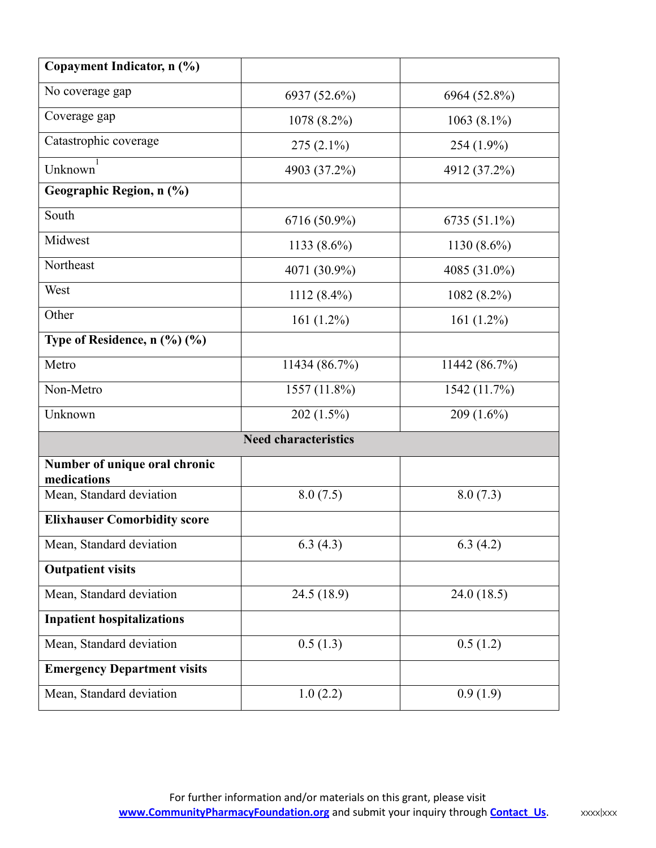| Copayment Indicator, n (%)                   |                             |                |  |  |  |
|----------------------------------------------|-----------------------------|----------------|--|--|--|
| No coverage gap                              | 6937 (52.6%)                | 6964 (52.8%)   |  |  |  |
| Coverage gap                                 | 1078 (8.2%)                 | $1063(8.1\%)$  |  |  |  |
| Catastrophic coverage                        | $275(2.1\%)$                | 254 (1.9%)     |  |  |  |
| 1<br>Unknown                                 | 4903 (37.2%)                | 4912 (37.2%)   |  |  |  |
| Geographic Region, n (%)                     |                             |                |  |  |  |
| South                                        | 6716 (50.9%)                | 6735 (51.1%)   |  |  |  |
| Midwest                                      | 1133 $(8.6\%)$              | 1130 $(8.6\%)$ |  |  |  |
| Northeast                                    | 4071 (30.9%)                | 4085 (31.0%)   |  |  |  |
| West                                         | $1112(8.4\%)$               | 1082 (8.2%)    |  |  |  |
| Other                                        | 161 $(1.2\%)$               | 161 $(1.2\%)$  |  |  |  |
| Type of Residence, $n$ (%) (%)               |                             |                |  |  |  |
| Metro                                        | 11434 (86.7%)               | 11442 (86.7%)  |  |  |  |
| Non-Metro                                    | 1557 (11.8%)                | 1542 (11.7%)   |  |  |  |
| Unknown                                      | 202 (1.5%)                  | $209(1.6\%)$   |  |  |  |
|                                              | <b>Need characteristics</b> |                |  |  |  |
| Number of unique oral chronic<br>medications |                             |                |  |  |  |
| Mean, Standard deviation                     | 8.0(7.5)                    | 8.0(7.3)       |  |  |  |
| <b>Elixhauser Comorbidity score</b>          |                             |                |  |  |  |
| Mean, Standard deviation                     | 6.3(4.3)                    | 6.3(4.2)       |  |  |  |
| <b>Outpatient visits</b>                     |                             |                |  |  |  |
| Mean, Standard deviation                     | 24.5 (18.9)                 | 24.0(18.5)     |  |  |  |
| <b>Inpatient hospitalizations</b>            |                             |                |  |  |  |
| Mean, Standard deviation                     | 0.5(1.3)                    | 0.5(1.2)       |  |  |  |
| <b>Emergency Department visits</b>           |                             |                |  |  |  |
| Mean, Standard deviation                     | 1.0(2.2)                    | 0.9(1.9)       |  |  |  |